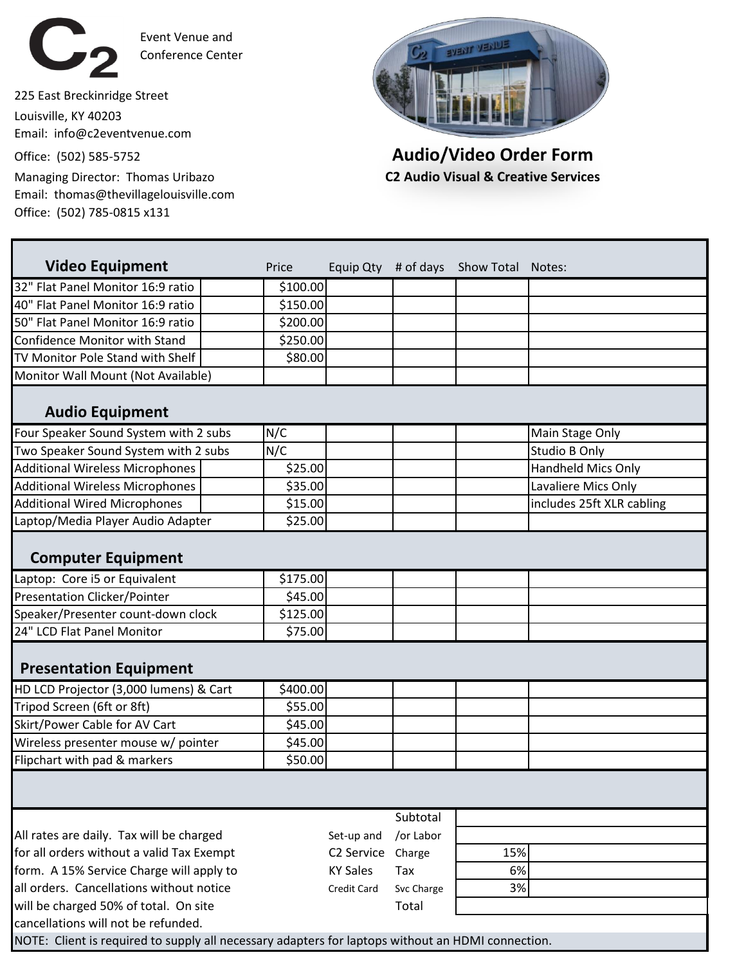

Event Venue and Conference Center

225 East Breckinridge Street Louisville, KY 40203 Email: info@c2eventvenue.com

Email: thomas@thevillagelouisville.com Office: (502) 785-0815 x131



Office: (502) 585-5752 **Audio/Video Order Form** Managing Director: Thomas Uribazo **C2 Audio Visual & Creative Services**

| <b>Video Equipment</b>                    | Price    |                        |            | Equip Qty # of days Show Total Notes: |                           |
|-------------------------------------------|----------|------------------------|------------|---------------------------------------|---------------------------|
| 32" Flat Panel Monitor 16:9 ratio         | \$100.00 |                        |            |                                       |                           |
| 40" Flat Panel Monitor 16:9 ratio         | \$150.00 |                        |            |                                       |                           |
| 50" Flat Panel Monitor 16:9 ratio         | \$200.00 |                        |            |                                       |                           |
| <b>Confidence Monitor with Stand</b>      | \$250.00 |                        |            |                                       |                           |
| TV Monitor Pole Stand with Shelf          | \$80.00  |                        |            |                                       |                           |
| Monitor Wall Mount (Not Available)        |          |                        |            |                                       |                           |
| <b>Audio Equipment</b>                    |          |                        |            |                                       |                           |
| Four Speaker Sound System with 2 subs     | N/C      |                        |            |                                       | Main Stage Only           |
| Two Speaker Sound System with 2 subs      | N/C      |                        |            |                                       | <b>Studio B Only</b>      |
| <b>Additional Wireless Microphones</b>    | \$25.00  |                        |            |                                       | <b>Handheld Mics Only</b> |
| <b>Additional Wireless Microphones</b>    | \$35.00  |                        |            |                                       | Lavaliere Mics Only       |
| <b>Additional Wired Microphones</b>       | \$15.00  |                        |            |                                       | includes 25ft XLR cabling |
| Laptop/Media Player Audio Adapter         | \$25.00  |                        |            |                                       |                           |
| <b>Computer Equipment</b>                 |          |                        |            |                                       |                           |
| Laptop: Core i5 or Equivalent             | \$175.00 |                        |            |                                       |                           |
| <b>Presentation Clicker/Pointer</b>       | \$45.00  |                        |            |                                       |                           |
| Speaker/Presenter count-down clock        | \$125.00 |                        |            |                                       |                           |
| 24" LCD Flat Panel Monitor                | \$75.00  |                        |            |                                       |                           |
| <b>Presentation Equipment</b>             |          |                        |            |                                       |                           |
| HD LCD Projector (3,000 lumens) & Cart    | \$400.00 |                        |            |                                       |                           |
| Tripod Screen (6ft or 8ft)                | \$55.00  |                        |            |                                       |                           |
| Skirt/Power Cable for AV Cart             | \$45.00  |                        |            |                                       |                           |
| Wireless presenter mouse w/ pointer       | \$45.00  |                        |            |                                       |                           |
| Flipchart with pad & markers              | \$50.00  |                        |            |                                       |                           |
|                                           |          |                        |            |                                       |                           |
|                                           |          |                        | Subtotal   |                                       |                           |
| All rates are daily. Tax will be charged  |          | Set-up and             | /or Labor  |                                       |                           |
| for all orders without a valid Tax Exempt |          | C <sub>2</sub> Service | Charge     | 15%                                   |                           |
| form. A 15% Service Charge will apply to  |          | <b>KY Sales</b>        | Tax        | 6%                                    |                           |
| all orders. Cancellations without notice  |          | Credit Card            | Svc Charge | 3%                                    |                           |
| will be charged 50% of total. On site     |          |                        | Total      |                                       |                           |
| cancellations will not be refunded.       |          |                        |            |                                       |                           |

NOTE: Client is required to supply all necessary adapters for laptops without an HDMI connection.